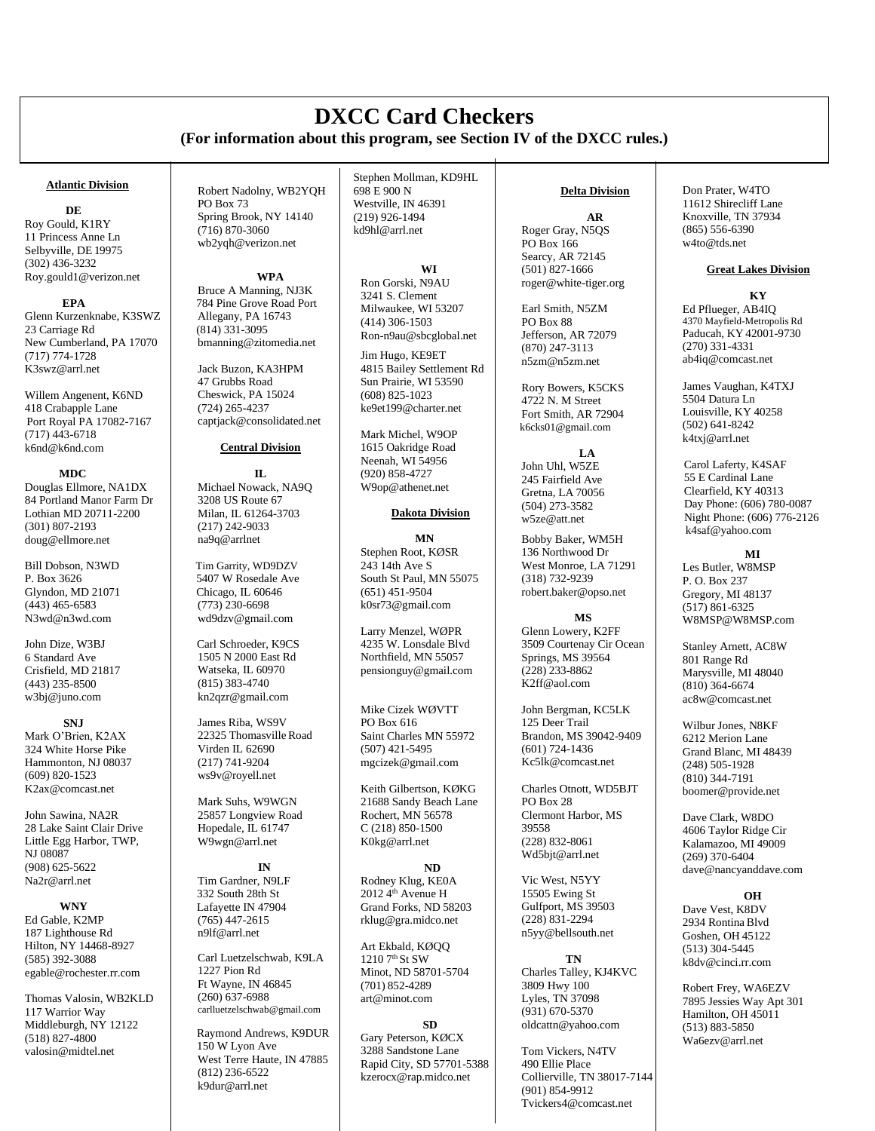# **DXCC Card Checkers (For information about this program, see Section IV of the DXCC rules.)**

#### **Atlantic Division**

#### **DE**

Roy Gould, K1RY 11 Princess Anne Ln Selbyville, DE 19975 (302) 436-3232 [Roy.gould1@verizon.net](mailto:Roy.gould1@verizon.net)

#### **EPA**

Glenn Kurzenknabe, K3SWZ 23 Carriage Rd New Cumberland, PA 17070 (717) 774-1728 [K3swz@arrl.net](mailto:K3swz@arrl.net)

Willem Angenent, K6ND 418 Crabapple Lane Port Royal PA 17082-7167 (717) 443-6718 [k6nd@k6nd.com](mailto:k6nd@k6nd.com)

#### **MDC**

Douglas Ellmore, NA1DX 84 Portland Manor Farm Dr Lothian MD 20711-2200 (301) 807-2193 [doug@ellmore.net](mailto:doug@ellmore.net)

Bill Dobson, N3WD P. Box 3626 Glyndon, MD 21071  $(443)$  465-6583 [N3wd@n3wd.com](mailto:N3wd@n3wd.com)

John Dize, W3BJ 6 Standard Ave Crisfield, MD 21817 (443) 235-8500 [w3bj@juno.com](mailto:w3bj@juno.com)

**SNJ** Mark O'Brien, K2AX 324 White Horse Pike Hammonton, NJ 08037 (609) 820-1523 [K2ax@comcast.net](mailto:K2ax@comcast.net)

John Sawina, NA2R 28 Lake Saint Clair Drive Little Egg Harbor, TWP, NJ 08087 (908) 625-5622 [Na2r@arrl.net](mailto:Na2r@arrl.net)

## **WNY**

Ed Gable, K2MP 187 Lighthouse Rd Hilton, NY 14468-8927 (585) 392-3088 [egable@rochester.rr.com](mailto:egable@rochester.rr.com)

Thomas Valosin, WB2KLD 117 Warrior Way Middleburgh, NY 12122 (518) 827-4800 valosin@midtel.net

Robert Nadolny, WB2YQH PO Box 73 Spring Brook, NY 14140  $(716)$  870-3060 [wb2yqh@verizon.net](mailto:wb2yqh@verizon.net)

#### **WPA**

Bruce A Manning, NJ3K 784 Pine Grove Road Port Allegany, PA 16743 (814) 331-3095 [bmanning@zitomedia.net](mailto:bmanning@zitomedia.net)

Jack Buzon, KA3HPM 47 Grubbs Road Cheswick, PA 15024 (724) 265-4237 [captjack@consolidated.net](mailto:captjack@consolidated.net)

## **Central Division**

**IL** Michael Nowack, NA9Q 3208 US Route 67 Milan, IL 61264-3703 (217) 242-9033 na9q@arrlnet

 Tim Garrity, WD9DZV 5407 W Rosedale Ave Chicago, IL 60646 (773) 230-6698 [wd9dzv@gmail.com](mailto:wd9dzv@gmail.com)

Carl Schroeder, K9CS 1505 N 2000 East Rd Watseka, IL 60970 (815) 383-4740 [kn2qzr@gmail.com](mailto:kn2qzr@gmail.com)

James Riba, WS9V 22325 Thomasville Road Virden IL 62690 (217) 741-9204 [ws9v@royell.net](mailto:ws9v@royell.net)

Mark Suhs, W9WGN 25857 Longview Road Hopedale, IL 61747 W9wgn@arrl.net

**IN** Tim Gardner, N9LF 332 South 28th St Lafayette IN 47904 (765) 447-2615 [n9lf@arrl.n](mailto:n9lf@arrl.org)et

Carl Luetzelschwab, K9LA 1227 Pion Rd Ft Wayne, IN 46845 (260) 637-6988 [carlluetzelschwab@gmail.com](mailto:carlluetzelschwab@gmail.com)

Raymond Andrews, K9DUR 150 W Lyon Ave West Terre Haute, IN 47885 (812) 236-6522 [k9dur@arrl.net](mailto:k9dur@arrl.net)

Stephen Mollman, KD9HL 698 E 900 N Westville, IN 46391 (219) 926-1494 kd9hl@arrl.net

**WI** Ron Gorski, N9AU 3241 S. Clement Milwaukee, WI 53207 (414) 306-1503 [Ron-n9au@sbcglobal.net](mailto:Ron-n9au@sbcglobal.net)

Jim Hugo, KE9ET 4815 Bailey Settlement Rd Sun Prairie, WI 53590 (608) 825-1023 [ke9et199@charter.net](mailto:ke9et199@charter.net)

Mark Michel, W9OP 1615 Oakridge Road Neenah, WI 54956 (920) 858-4727 W9op@athenet.net

## **Dakota Division**

**MN** Stephen Root, KØSR  $243$  14th Ave S South St Paul, MN 55075 (651) 451-9504 [k0sr73@gmail.com](mailto:k0sr73@gmail.com)

Larry Menzel, WØPR 4235 W. Lonsdale Blvd Northfield, MN 5505[7](mailto:retire@lonstel.com) pensionguy@gmail.com

Mike Cizek WØVTT PO Box 616 Saint Charles MN 55972 (507) 421-5495 [mgcizek@gmail.com](mailto:mgcizek@gmail.com)

Keith Gilbertson, KØKG 21688 Sandy Beach Lane Rochert, MN 56578 C (218) 850-1500 K0kg@arrl.net

**ND** Rodney Klug, KE0A  $2012 \, 4^{th}$  Avenue H Grand Forks, ND 58203 rklug@gra.midco.net

Art Ekbald, KØQQ  $1210$   $7<sup>th</sup>$  St SW Minot, ND 58701-5704 (701) 852-4289 [art@minot.com](mailto:art@minot.com)

**SD** Gary Peterson, KØCX 3288 Sandstone Lane Rapid City, SD 57701-5388 kzerocx@rap.midco.net

## **Delta Division**

**AR** Roger Gray, N5QS PO Box 166 Searcy, AR 72145 (501) 827-1666 [roger@white-tiger.org](mailto:roger@white-tiger.org)

Earl Smith, N5ZM PO Box 88 Jefferson, AR 72079 (870) 247-3113 [n5zm@n](mailto:n5zm@)5zm.net

Rory Bowers, K5CKS 4722 N. M Street Fort Smith, AR 72904 k6cks01@gmail.com

**LA** John Uhl, W5ZE 245 Fairfield Ave Gretna, LA 70056 (504) 273-3582 [w5ze@att.net](mailto:w5ze@att.net)

Bobby Baker, WM5H 136 Northwood Dr West Monroe, LA 71291 (318) 732-9239 [robert.baker@opso.net](mailto:robert.baker@opso.net)

**MS** Glenn Lowery, K2FF 3509 Courtenay Cir Ocean Springs, MS 39564 (228) 233-8862 [K2ff@aol.com](mailto:K2ff@aol.com)

John Bergman, KC5LK 125 Deer Trail Brandon, MS 39042-9409 (601) 724-1436 [Kc5lk@comcast.net](mailto:Kc5lk@comcast.net)

Charles Otnott, WD5BJT PO Box 28 Clermont Harbor, MS 39558 (228) 832-8061 [Wd5bjt@arrl.net](mailto:Wd5bjt@arrl.net)

Vic West, N5YY 15505 Ewing St Gulfport, MS 39503 (228) 831-2294 [n5yy@bellsouth.net](mailto:n5yy@bellsouth.net)

**TN**

Charles Talley, KJ4KVC 3809 Hwy 100 Lyles, TN 37098 (931) 670-5370 [oldcattn@yahoo.com](mailto:oldcattn@yahoo.com)

Tom Vickers, N4TV 490 Ellie Place Collierville, TN 38017-7144 (901) 854-9912 [Tvickers4@comcast.net](mailto:Tvickers4@comcast.net)

Don Prater, W4TO 11612 Shirecliff Lane Knoxville, TN 37934 (865) 556-6390 [w4to@tds.net](mailto:w4to@tds.net)

## **Great Lakes Division**

**KY** Ed Pflueger, AB4IQ 4370 Mayfield-Metropolis Rd Paducah, KY 42001-9730 (270) 331-4331 [ab4iq@comcast.net](mailto:ab4iq@comcast.net)

James Vaughan, K4TXJ 5504 Datura Ln Louisville, KY 40258 (502) 641-8242 [k4txj@arrl.net](mailto:k4txj@arrl.net)

 Carol Laferty, K4SAF 55 E Cardinal Lane Clearfield, KY 40313 Day Phone: (606) 780-0087 Night Phone: (606) 776-2126 [k4saf@yahoo.com](mailto:k4saf@yahoo.com)

## **MI**

Les Butler, W8MSP P. O. Box 237 Gregory, MI 48137 (517) 861-6325 [W8MSP@W8MSP.com](mailto:W8MSP@W8MSP.com)

Stanley Arnett, AC8W 801 Range Rd Marysville, MI 48040 (810) 364-6674 [ac8w@comcast.net](mailto:ac8w@comcast.net)

Wilbur Jones, N8KF 6212 Merion Lane Grand Blanc, MI 48439 (248) 505-1928 (810) 344-7191 [boomer@provide.net](mailto:boomer@provide.net)

Dave Clark, W8DO 4606 Taylor Ridge Cir Kalamazoo, MI 49009 (269) 370-6404 [dave@nancyanddave.com](mailto:dave@nancyanddave.com)

## **OH**

Dave Vest, K8DV 2934 Rontina Blvd Goshen, OH 45122 (513) 304-5445 [k8dv@cinci.rr.com](mailto:k8dv@cinci.rr.com)

Robert Frey, WA6EZV 7895 Jessies Way Apt 301 Hamilton, OH 45011 (513) 883-5850 [Wa6ezv@arrl.net](mailto:Wa6ezv@arrl.net)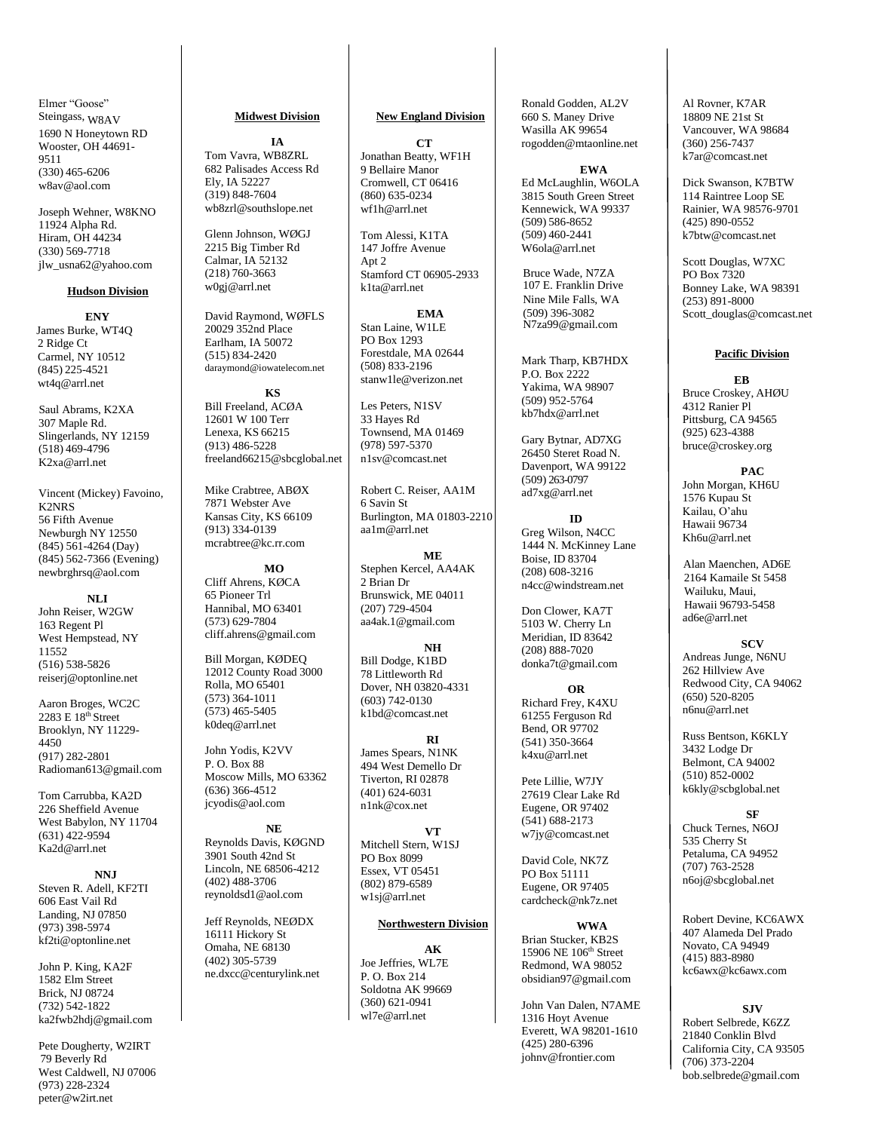Elmer "Goose" Steingass, W8AV 1690 N Honeytown RD Wooster, OH 44691- 9511 (330) 465-6206 [w8av@aol.com](mailto:w8av@aol.com)

Joseph Wehner, W8KNO 11924 Alpha Rd. Hiram, OH 44234 (330) 569-7718 [jlw\\_usna62@yahoo.com](mailto:jlw_usna62@yahoo.com)

#### **Hudson Division**

**ENY** James Burke, WT4Q 2 Ridge Ct Carmel, NY 10512 (845) 225-4521 [wt4q@arrl.net](mailto:wt4q@arrl.net)

 Saul Abrams, K2XA 307 Maple Rd. Slingerlands, NY 12159 (518) 469-4796 [K2xa@arrl.net](mailto:K2xa@arrl.net)

Vincent (Mickey) Favoino, K2NRS 56 Fifth Avenue Newburgh NY 12550 (845) 561-4264 (Day) (845) 562-7366 (Evening) [newbrghrsq@aol.com](mailto:newbrghrsq@aol.com)

**NLI** John Reiser, W2GW 163 Regent Pl West Hempstead, NY 11552 (516) 538-5826 [reiserj@optonline.net](mailto:reiserj@optonline.net)

Aaron Broges, WC2C 2283 E 18<sup>th</sup> Street Brooklyn, NY 11229- 4450 (917) 282-2801 [Radioman613@gmail.com](mailto:Radioman613@gmail.com)

Tom Carrubba, KA2D 226 Sheffield Avenue West Babylon, NY 11704 (631) 422-9594 Ka2d@arrl.net

**NNJ** Steven R. Adell, KF2TI 606 East Vail Rd Landing, NJ 07850 (973) 398-5974 [kf2ti@optonline.net](mailto:kf2ti@optonline.net)

John P. King, KA2F 1582 Elm Street Brick, NJ 08724 (732) 542-1822 [ka2fwb2hdj@gmail.com](mailto:ka2fwb2hdj@gmail.com)

Pete Dougherty, W2IRT 79 Beverly Rd West Caldwell, NJ 07006 (973) 228-2324 [peter@w2irt.net](mailto:peter@w2irt.net)

## **Midwest Division**

**IA** Tom Vavra, WB8ZRL 682 Palisades Access Rd Ely, IA 52227 (319) 848-7604 [wb8zrl@southslope.net](mailto:wb8zrl@southslope.net)

Glenn Johnson, WØGJ 2215 Big Timber Rd Calmar, IA 52132 (218) 760-3663 [w0gj@arrl.net](mailto:w0gj@arrl.net)

David Raymond, WØFLS 20029 352nd Place Earlham, IA 50072 (515) 834-2420 [daraymond@iowatelecom.net](mailto:daraymond@iowatelecom.net)

**KS** Bill Freeland, ACØA 12601 W 100 Terr Lenexa, KS 66215 (913) 486-5228 [freeland66215@sbcglobal.net](mailto:freeland66215@sbcglobal.net)

Mike Crabtree, ABØX 7871 Webster Ave Kansas City, KS 66109 (913) 334-0139 [mcrabtree@kc.rr.com](mailto:mcrabtree@kc.rr.com)

**MO** Cliff Ahrens, KØCA 65 Pioneer Trl Hannibal, MO 63401 (573) 629-7804 [cliff.ahrens@gmail.com](mailto:cliff.ahrens@gmail.com)

Bill Morgan, KØDEQ 12012 County Road 3000 Rolla, MO 65401 (573) 364-1011 (573) 465-5405 [k0deq@arrl.net](mailto:k0deq@arrl.net)

John Yodis, K2VV P. O. Box 88 Moscow Mills, MO 63362  $(636)$  366-4512 [jcyodis@aol.com](mailto:jcyodis@aol.com)

**NE** Reynolds Davis, KØGND 3901 South 42nd St Lincoln, NE 68506-4212 (402) 488-3706 [reynoldsd1@aol.com](mailto:reynoldsd1@aol.com)

Jeff Reynolds, NEØDX 16111 Hickory St Omaha, NE 68130 (402) 305-5739 [ne.dxcc@centurylink.net](mailto:ne.dxcc@centurylink.net)

## **New England Division**

 $CT$ Jonathan Beatty, WF1H 9 Bellaire Manor Cromwell, CT 06416 (860) 635-0234 [wf1h@arrl.net](mailto:wf1h@arrl.net)

Tom Alessi, K1TA 147 Joffre Avenue Apt 2 Stamford CT 06905-293[3](mailto:k1ta@arrl.net) [k1ta@arrl.net](mailto:k1ta@arrl.net)

**EMA** Stan Laine, W1LE PO Box 1293 Forestdale, MA 02644 (508) 833-2196 [stanw1le@verizon.net](mailto:stanw1le@verizon.net)

Les Peters, N1SV 33 Hayes Rd Townsend, MA 01469 (978) 597-5370 [n1sv@comcast.net](mailto:n1sv@comcast.net)

Robert C. Reiser, AA1M 6 Savin St Burlington, MA 01803-221[0](mailto:aa1m@arrl.net) [aa1m@arrl.net](mailto:aa1m@arrl.net)

**ME** Stephen Kercel, AA4AK 2 Brian Dr Brunswick, ME 04011 (207) 729-4504 [aa4ak.1@gmail.com](mailto:aa4ak.1@gmail.com)

**NH** Bill Dodge, K1BD 78 Littleworth Rd Dover, NH 03820-4331 (603) 742-0130 [k1bd@comcast.net](mailto:k1bd@comcast.net)

**RI** James Spears, N1NK 494 West Demello Dr Tiverton, RI 02878 (401) 624-6031 [n1nk@cox.net](mailto:n1nk@cox.net)

**VT** Mitchell Stern, W1SJ PO Box 8099 Essex, VT 05451 (802) 879-6589 [w1sj@arrl.net](mailto:w1sj@arrl.net)

## **Northwestern Division**

**AK** Joe Jeffries, WL7E P. O. Box 214 Soldotna AK 99669 (360) 621-094[1](mailto:wl7e@arrl.net) [wl7e@arrl.net](mailto:wl7e@arrl.net)

Ronald Godden, AL2V 660 S. Maney Drive Wasilla AK 9965[4](mailto:rogodden@mtaonline.net) [rogodden@mtaonline.net](mailto:rogodden@mtaonline.net)

**EWA** Ed McLaughlin, W6OLA 3815 South Green Street Kennewick, WA 99337 (509) 586-8652  $(509)$  460-2441 [W6ola@arrl.net](mailto:W6ola@arrl.net)

Bruce Wade, N7ZA 107 E. Franklin Drive Nine Mile Falls, WA (509) 396-3082 [N7za99@gmail.com](mailto:N7za99@gmail.com)

Mark Tharp, KB7HDX P.O. Box 2222 Yakima, WA 98907 (509) 952-576[4](mailto:kb7hdx@arrl.net) [kb7hdx@arrl.net](mailto:kb7hdx@arrl.net)

Gary Bytnar, AD7XG 26450 Steret Road N. Davenport, WA 99122 (509) 263-0797 [ad7xg@arrl.net](mailto:ad7xg@arrl.net)

 **ID** Greg Wilson, N4CC 1444 N. McKinney Lane Boise, ID 83704 (208) 608-3216 [n4cc@windstream.net](mailto:n4cc@windstream.net)

Don Clower, KA7T 5103 W. Cherry Ln Meridian, ID 83642 (208) 888-7020 [donka7t@gmail.com](mailto:donka7t@gmail.com)

**OR** Richard Frey, K4XU 61255 Ferguson Rd Bend, OR 97702 (541) 350-3664 [k4xu@arrl.net](mailto:k4xu@arrl.net)

Pete Lillie, W7JY 27619 Clear Lake Rd Eugene, OR 97402 (541) 688-2173 [w7jy@comcast.net](mailto:w7jy@comcast.net)

David Cole, NK7Z PO Box 51111 Eugene, OR 97405 cardcheck@nk7z.net

**WWA** Brian Stucker, KB2S 15906 NE 106th Street Redmond, WA 98052 obsidian97@gmail.com

John Van Dalen, N7AME 1316 Hoyt Avenue Everett, WA 98201-1610 (425) 280-6396 [johnv@frontier.com](mailto:johnv@frontier.com)

Al Rovner, K7AR 18809 NE 21st St Vancouver, WA 98684 (360) 256-7437 [k7ar@comcast.net](mailto:k7ar@comcast.net)

Dick Swanson, K7BTW 114 Raintree Loop SE Rainier, WA 98576-9701 (425) 890-0552 [k7btw@comcast.net](mailto:k7btw@comcast.net)

Scott Douglas, W7XC PO Box 7320 Bonney Lake, WA 98391 (253) 891-8000 [Scott\\_douglas@comcast.net](mailto:Scott_douglas@comcast.net)

## **Pacific Division**

#### **EB**

Bruce Croskey, AHØU 4312 Ranier Pl Pittsburg, CA 94565 (925) 623-4388 [bruce@croskey.org](mailto:bruce@croskey.org)

**PAC** John Morgan, KH6U 1576 Kupau St Kailau, O'ahu Hawaii 9673[4](mailto:kh6u@arrl.net) Kh6u@arrl.net

Alan Maenchen, AD6E 2164 Kamaile St 5458 Wailuku, Maui, Hawaii 96793-5458 [ad6e@arrl.net](mailto:ad6e@arrl.net)

#### **SCV**

Andreas Junge, N6NU 262 Hillview Ave Redwood City, CA 94062 (650) 520-8205 [n6nu@arrl.net](mailto:n6nu@arrl.net)

Russ Bentson, K6KLY 3432 Lodge Dr Belmont, CA 94002 (510) 852-0002 [k6kly@scbglobal.net](mailto:k6kly@scbglobal.net)

**SF**

Chuck Ternes, N6OJ 535 Cherry St Petaluma, CA 94952 (707) 763-2528 [n6oj@sbcglobal.net](mailto:n6oj@sbcglobal.net)

Robert Devine, KC6AWX 407 Alameda Del Prado Novato, CA 94949 (415) 883-8980 [kc6awx@kc6awx.com](mailto:kc6awx@kc6awx.com)

# **SJV**

Robert Selbrede, K6ZZ 21840 Conklin Blvd California City, CA 93505 (706) 373-2204 [bob.selbrede@gmail.com](mailto:bob.selbrede@gmail.com)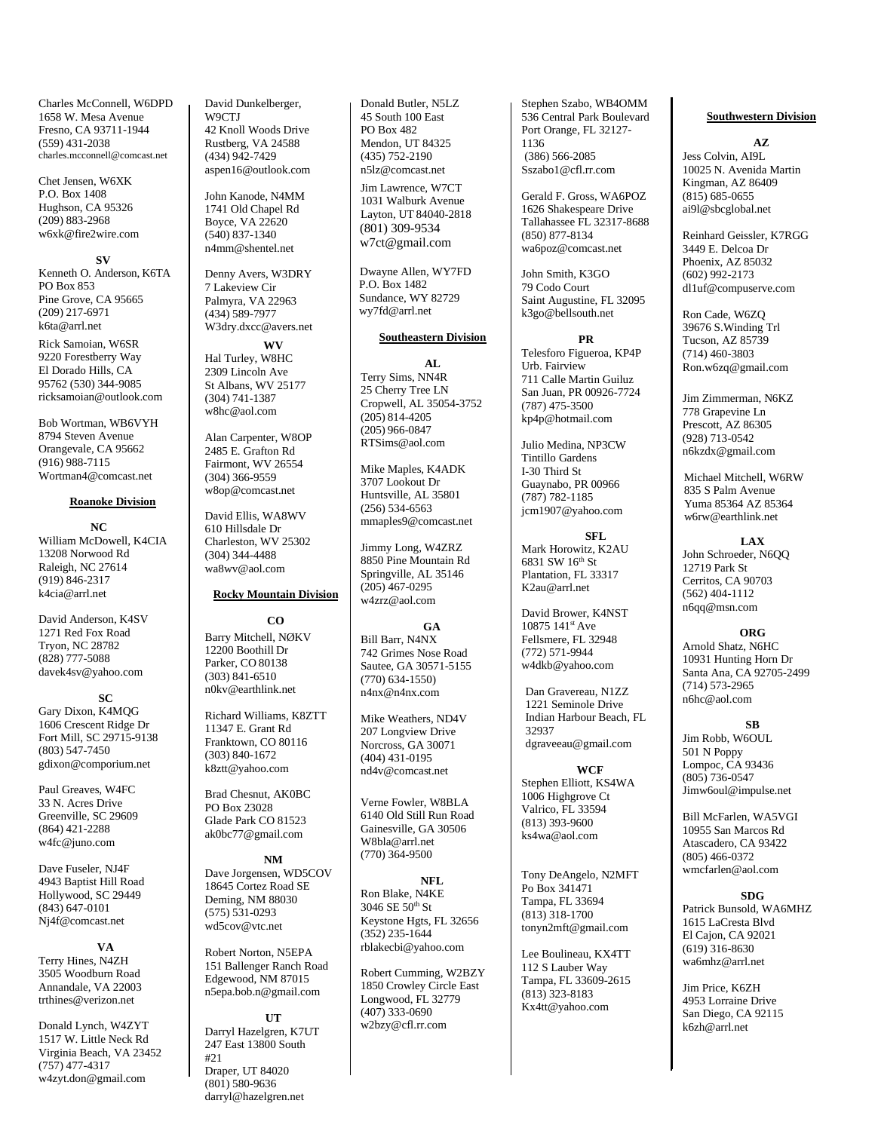Charles McConnell, W6DPD 1658 W. Mesa Avenue Fresno, CA 93711-1944 (559) 431-2038 [charles.mcconnell@comcast.net](mailto:charles.mcconnell@comcast.net)

Chet Jensen, W6XK P.O. Box 1408 Hughson, CA 95326 (209) 883-296[8](mailto:w6xk@fire2wire.com) [w6xk@fire2wire.com](mailto:w6xk@fire2wire.com)

#### **SV**

Kenneth O. Anderson, K6TA PO Box 853 Pine Grove, CA 95665 (209) 217-6971 [k6ta@arrl.net](mailto:k6ta@arrl.net)

Rick Samoian, W6SR 9220 Forestberry Way El Dorado Hills, CA 95762 (530) 344-9085 [ricksamoian@outlook.com](mailto:ricksamoian@outlook.com)

Bob Wortman, WB6VYH 8794 Steven Avenue Orangevale, CA 95662 (916) 988-7115 [Wortman4@comcast.net](mailto:Wortman4@comcast.net)

#### **Roanoke Division**

**NC** William McDowell, K4CIA 13208 Norwood Rd Raleigh, NC 27614 (919) 846-2317 [k4cia@arrl.net](mailto:k4cia@arrl.net)

David Anderson, K4SV 1271 Red Fox Road Tryon, NC 28782 (828) 777-5088 [davek4sv@yahoo.com](mailto:davek4sv@yahoo.com)

#### **SC**

Gary Dixon, K4MQG 1606 Crescent Ridge Dr Fort Mill, SC 29715-9138 (803) 547-7450 [gdixon@comporium.net](mailto:gdixon@comporium.net)

Paul Greaves, W4FC 33 N. Acres Drive Greenville, SC 29609 (864) 421-2288 [w4fc@juno.com](mailto:w4fc@juno.com)

Dave Fuseler, NJ4F 4943 Baptist Hill Road Hollywood, SC 29449 (843) 647-0101 [Nj4f@comcast.net](mailto:Nj4f@comcast.net)

**VA** Terry Hines, N4ZH 3505 Woodburn Road Annandale, VA 2200[3](mailto:trthines@verizon.net) [trthines@verizon.net](mailto:trthines@verizon.net)

Donald Lynch, W4ZYT 1517 W. Little Neck Rd Virginia Beach, VA 23452 (757) 477-4317 [w4zyt.don@gmail.com](mailto:w4zyt.don@gmail.com)

David Dunkelberger, W9CTJ 42 Knoll Woods Drive Rustberg, VA 24588 (434) 942-7429 aspen16@outlook.com

John Kanode, N4MM 1741 Old Chapel Rd Boyce, VA 22620 (540) 837-1340 [n4mm@shentel.net](mailto:n4mm@shentel.net)

Denny Avers, W3DRY 7 Lakeview Cir Palmyra, VA 22963 (434) 589-7977 [W3dry.dxcc@avers.net](mailto:W3dry.dxcc@avers.net)

**WV** Hal Turley, W8HC 2309 Lincoln Ave St Albans, WV 25177 (304) 741-1387 [w8hc@aol.com](mailto:w8hc@aol.com)

Alan Carpenter, W8OP 2485 E. Grafton Rd Fairmont, WV 26554 (304) 366-9559 [w8op@comcast.net](mailto:w8op@comcast.net)

David Ellis, WA8WV 610 Hillsdale Dr Charleston, WV 25302 (304) 344-4488 [wa8wv@aol.com](mailto:wa8wv@aol.com)

## **Rocky Mountain Division**

**CO** Barry Mitchell, NØKV 12200 Boothill Dr Parker, CO 80138 (303) 841-6510 [n0kv@earthlink.net](mailto:n0kv@earthlink.net)

Richard Williams, K8ZTT 11347 E. Grant Rd Franktown, CO 80116 (303) 840-1672 [k8ztt@yahoo.com](mailto:k8ztt@yahoo.com)

Brad Chesnut, AK0BC PO Box 23028 Glade Park CO 8152[3](mailto:ak0bc77@gmail.com) [ak0bc77@gmail.com](mailto:ak0bc77@gmail.com)

**NM** Dave Jorgensen, WD5COV 18645 Cortez Road SE Deming, NM 88030 (575) 531-0293 wd5cov@vtc.net

Robert Norton, N5EPA 151 Ballenger Ranch Road Edgewood, NM 87015 [n5epa.bob.n@g](mailto:n5epa.bob.n@)mail.com

**UT** Darryl Hazelgren, K7UT 247 East 13800 South #21 Draper, UT 84020

(801) 580-9636 [darryl@hazelgren.net](mailto:darryl@hazelgren.net) Donald Butler, N5LZ 45 South 100 East PO Box 482 Mendon, UT 84325 (435) 752-2190 [n5lz@comcast.net](mailto:n5lz@comcast.net)

Jim Lawrence, W7CT 1031 Walburk Avenue Layton, UT 84040-2818 (801) 309-9534 w7ct@gmail.com

 Dwayne Allen, WY7FD P.O. Box 1482 Sundance, WY 82729  [wy7fd@arrl.net](mailto:wy7fd@arrl.net)

#### **Southeastern Division**

**AL** Terry Sims, NN4R 25 Cherry Tree LN Cropwell, AL 35054-3752  $(20\bar{5})$  814-4205 (205) 966-0847 [RTSims@aol.com](mailto:RTSims@aol.com)

Mike Maples, K4ADK 3707 Lookout Dr Huntsville, AL 35801 (256) 534-6563 [mmaples9@comcast.net](mailto:mmaples9@comcast.net)

Jimmy Long, W4ZRZ 8850 Pine Mountain Rd Springville, AL 35146 (205) 467-0295 [w4zrz@aol.com](mailto:w4zrz@aol.com)

**GA** Bill Barr, N4NX 742 Grimes Nose Road Sautee, GA 30571-5155 (770) 634-1550) [n4nx@n4nx.com](mailto:n4nx@n4nx.com)

Mike Weathers, ND4V 207 Longview Drive Norcross, GA 30071 (404) 431-0195 nd4v@comcast.net

Verne Fowler, W8BLA 6140 Old Still Run Road Gainesville, GA 30506 W8bla@arrl.net (770) 364-9500

Ron Blake, N4KE 3046 SE 50th St Keystone Hgts, FL 32656 (352) 235-1644 [rblakecbi@yahoo.com](mailto:rblakecbi@yahoo.com)

Robert Cumming, W2BZY 1850 Crowley Circle East Longwood, FL 32779 (407) 333-0690 [w2bzy@cfl.rr.com](mailto:w2bzy@cfl.rr.com)

Stephen Szabo, WB4OMM 536 Central Park Boulevard Port Orange, FL 32127- 1136 (386) 566-2085 Sszabo1@cfl.rr.com

Gerald F. Gross, WA6POZ 1626 Shakespeare Drive Tallahassee FL 32317-8688 (850) 877-8134 [wa6poz@comcast.net](mailto:wa6poz@comcast.net)

John Smith, K3GO 79 Codo Court Saint Augustine, FL 32095 k3go@bellsouth.net

**PR** Telesforo Figueroa, KP4P Urb. Fairview 711 Calle Martin Guiluz San Juan, PR 00926-7724 (787) 475-3500 [kp4p@hotmail.com](mailto:kp4p@hotmail.com)

Julio Medina, NP3CW Tintillo Gardens I-30 Third St Guaynabo, PR 00966 (787) 782-1185 [jcm1907@yahoo.com](mailto:jcm1907@yahoo.com)

**SFL** Mark Horowitz, K2AU 6831 SW 16th St Plantation, FL 33317 K2au@arrl.net

David Brower, K4NST 10875 141st Ave Fellsmere, FL 32948 (772) 571-9944 [w4dkb@yahoo.com](mailto:w4dkb@yahoo.com)

Dan Gravereau, N1ZZ 1221 Seminole Drive Indian Harbour Beach, FL 32937 dgraveeau@gmail.com

**WCF** Stephen Elliott, KS4WA 1006 Highgrove Ct Valrico, FL 33594 (813) 393-9600 [ks4wa@aol.com](mailto:ks4wa@aol.com)

Tony DeAngelo, N2MFT Po Box 341471 Tampa, FL 33694 (813) 318-1700 [tonyn2mft@gmail.com](mailto:tonyn2mft@gmail.com)

Lee Boulineau, KX4TT 112 S Lauber Way Tampa, FL 33609-2615 (813) 323-8183 [Kx4tt@yahoo.com](mailto:Kx4tt@yahoo.com)

## **Southwestern Division**

**AZ** Jess Colvin, AI9L 10025 N. Avenida Martin Kingman, AZ 86409 (815) 685-0655 [ai9l@sbcglobal.net](mailto:ai9l@sbcglobal.net)

Reinhard Geissler, K7RGG 3449 E. Delcoa Dr Phoenix, AZ 85032 (602) 992-2173 [dl1uf@compuserve.com](mailto:dl1uf@compuserve.com)

Ron Cade, W6ZQ 39676 S.Winding Trl Tucson, AZ 85739 (714) 460-3803 [Ron.w6zq@gmail.com](mailto:Ron.w6zq@gmail.com)

Jim Zimmerman, N6KZ 778 Grapevine Ln Prescott, AZ 86305 (928) 713-0542 [n6kzdx@gmail.com](mailto:n6kzdx@gmail.com)

 Michael Mitchell, W6RW 835 S Palm Avenue Yuma 85364 AZ 85364 [w6rw@earthlink.net](mailto:w6rw@earthlink.net)

**LAX** John Schroeder, N6QQ 12719 Park St Cerritos, CA 90703 (562) 404-1112 [n6qq@msn.com](mailto:n6qq@msn.com)

**ORG** Arnold Shatz, N6HC 10931 Hunting Horn Dr Santa Ana, CA 92705-2499 (714) 573-2965 [n6hc@aol.com](mailto:n6hc@aol.com)

**SB** Jim Robb, W6OUL 501 N Poppy Lompoc, CA 93436 (805) 736-0547 [Jimw6oul@impulse.net](mailto:Jimw6oul@impulse.net)

Bill McFarlen, WA5VGI 10955 San Marcos Rd Atascadero, CA 93422 (805) 466-0372 [wmcfarlen@aol.com](mailto:wmcfarlen@aol.com)

## **SDG**

Patrick Bunsold, WA6MHZ 1615 LaCresta Blvd El Cajon, CA 92021 (619) 316-8630 [wa6mhz@arrl.net](mailto:wa6mhz@arrl.net)

Jim Price, K6ZH 4953 Lorraine Drive San Diego, CA 92115 k6zh@arrl.net

# **NFL**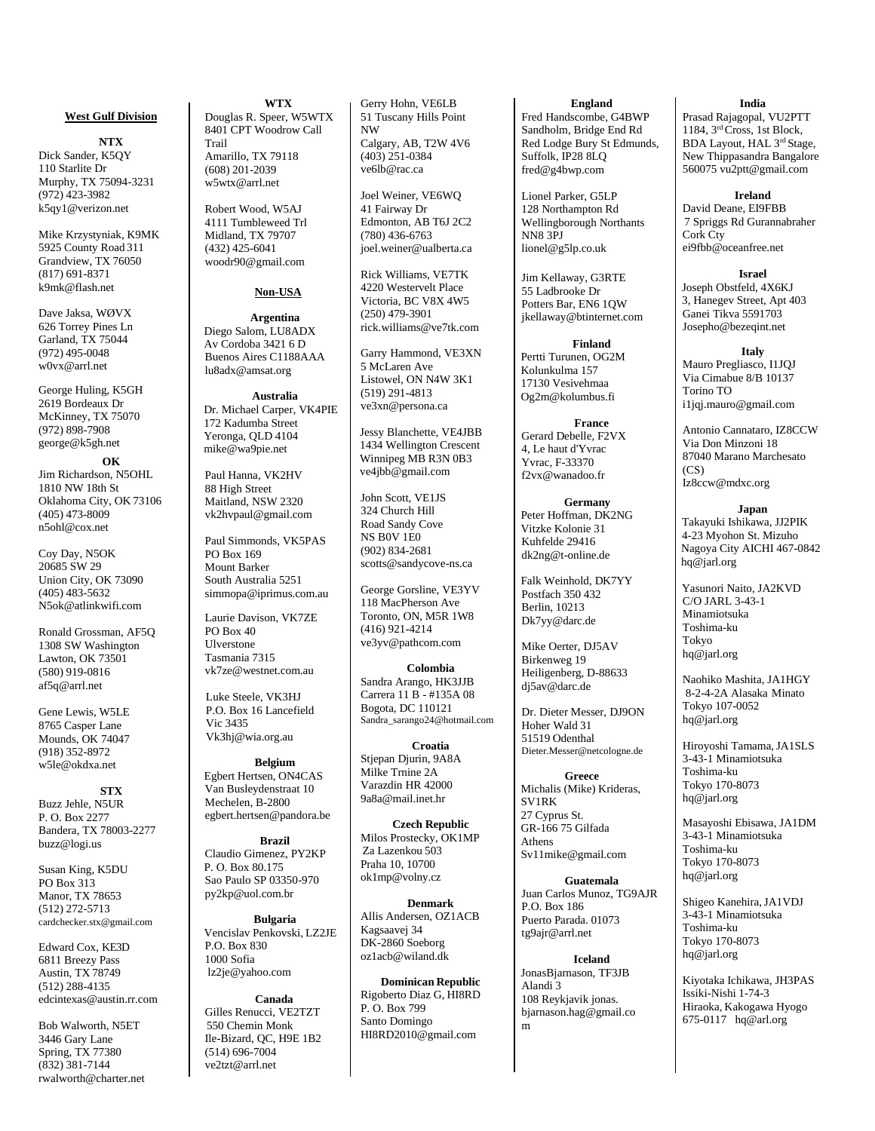## **West Gulf Division**

**NTX** Dick Sander, K5QY 110 Starlite Dr Murphy, TX 75094-3231 (972) 423-3982 [k5qy1@verizon.net](mailto:k5qy1@verizon.net)

Mike Krzystyniak, K9MK 5925 County Road 311 Grandview, TX 76050 (817) 691-8371 [k9mk@flash.net](mailto:k9mk@flash.net)

Dave Jaksa, WØVX 626 Torrey Pines Ln Garland, TX 75044 (972) 495-0048 [w0vx@arrl.net](mailto:w0vx@arrl.net)

George Huling, K5GH 2619 Bordeaux Dr McKinney, TX 75070 (972) 898-7908 [george@k5gh.net](mailto:george@k5gh.net)

**OK** Jim Richardson, N5OHL 1810 NW 18th St Oklahoma City, OK 73106 (405) 473-8009 [n5ohl@cox.net](mailto:n5ohl@cox.net)

Coy Day, N5OK 20685 SW 29 Union City, OK 73090 (405) 483-5632 [N5ok@atlinkwifi.com](mailto:N5ok@atlinkwifi.com)

Ronald Grossman, AF5Q 1308 SW Washington Lawton, OK 73501 (580) 919-0816 af5q@arrl.net

Gene Lewis, W5LE 8765 Casper Lane Mounds, OK 74047 (918) 352-8972 [w5le@okdxa.net](mailto:w5le@okdxa.net)

**STX** Buzz Jehle, N5UR P. O. Box 2277 Bandera, TX 78003-2277 [buzz@logi.us](mailto:buzz@logi.us)

Susan King, K5DU PO Box 313 Manor, TX 78653 (512) 272-5713 [cardchecker.stx@gmail.com](mailto:cardchecker.stx@gmail.com)

Edward Cox, KE3D 6811 Breezy Pass Austin, TX 78749 (512) 288-4135 [edcintexas@austin.rr.com](mailto:edcintexas@austin.rr.com)

Bob Walworth, N5ET 3446 Gary Lane Spring, TX 77380 (832) 381-7144 [rwalworth@charter.net](mailto:rwalworth@charter.net)

**WTX** Douglas R. Speer, W5WTX 8401 CPT Woodrow Call Trail Amarillo, TX 79118 (608) 201-2039

Robert Wood, W5AJ 4111 Tumbleweed Trl Midland, TX 79707 (432) 425-6041 [woodr90@g](mailto:woodr90@)mail.com

w5wtx@arrl.net

## **Non-USA**

**Argentina**  Diego Salom, LU8ADX Av Cordoba 3421 6 D Buenos Aires C1188AAA [lu8adx@amsat.org](mailto:lu8adx@amsat.org)

**Australia** Dr. Michael Carper, VK4PIE 172 Kadumba Street Yeronga, QLD 4104 [mike@wa9pie.net](mailto:mike@wa9pie.net)

Paul Hanna, VK2HV 88 High Street Maitland, NSW 2320 vk2hvpaul@gmail.com

Paul Simmonds, VK5PAS PO Box 169 Mount Barker South Australia 5251 [simmopa@iprimus.com.au](mailto:simmopa@iprimus.com.au)

Laurie Davison, VK7ZE PO Box 40 Ulverstone Tasmania 7315 [vk7ze@westnet.com.au](mailto:vk7ze@westnet.com.au)

Luke Steele, VK3HJ P.O. Box 16 Lancefield Vic 343[5](mailto:Vk3hj@wia.org.au) [Vk3hj@wia.org.au](mailto:Vk3hj@wia.org.au)

**Belgium**  Egbert Hertsen, ON4CAS Van Busleydenstraat 10 Mechelen, B-280[0](mailto:egbert.hertsen@pandora.be) [egbert.hertsen@pandora.be](mailto:egbert.hertsen@pandora.be)

**Brazil**  Claudio Gimenez, PY2KP P. O. Box 80.175 Sao Paulo SP 03350-970 [py2kp@uol.com.br](mailto:py2kp@uol.com.br)

**Bulgaria**  Vencislav Penkovski, LZ2JE P.O. Box 830 1000 Sofia [lz2je@yahoo.com](mailto:%20lz2je@yahoo.com)

**Canada** Gilles Renucci, VE2TZT 550 Chemin Monk Ile-Bizard, QC, H9E 1B2 (514) 696-7004 [ve2tzt@arrl.net](mailto:ve2tzt@arrl.net)

Gerry Hohn, VE6LB 51 Tuscany Hills Point NW

Calgary, AB, T2W 4V6 (403) 251-0384 [ve6lb@rac.ca](mailto:ve6lb@rac.ca)

Joel Weiner, VE6WQ 41 Fairway Dr Edmonton, AB T6J 2C2 (780) 436-6763 [joel.weiner@ualberta.ca](mailto:joel.weiner@ualberta.ca)

Rick Williams, VE7TK 4220 Westervelt Place Victoria, BC V8X 4W5 (250) 479-3901 rick.williams@ve7tk.com

Garry Hammond, VE3XN 5 McLaren Ave Listowel, ON N4W 3K1 (519) 291-4813 [ve3xn@persona.ca](mailto:ve3xn@persona.ca)

Jessy Blanchette, VE4JBB 1434 Wellington Crescent Winnipeg MB R3N 0B3 [ve4jbb@gmail.com](mailto:ve4jbb@gmail.com)

John Scott, VE1JS 324 Church Hill Road Sandy Cove NS B0V 1E0 (902) 834-2681 [scotts@sandycove-ns.ca](mailto:scotts@sandycove-ns.ca)

George Gorsline, VE3YV 118 MacPherson Ave Toronto, ON, M5R 1W8 (416) 921-4214 ve3yv@pathcom.com

**Colombia** Sandra Arango, HK3JJB Carrera 11 B - #135A 08 Bogota, DC 110121 Sandra\_sarango24@hotmail.com

**Croatia** Stiepan Diurin, 9A8A Milke Trnine 2A Varazdin HR 42000 [9a8a@mail.inet.hr](mailto:9a8a@mail.inet.hr)

**Czech Republic** Milos Prostecky, OK1MP Za Lazenkou 503 Praha 10, 1070[0](mailto:ok1mp@volny.cz) [ok1mp@volny.cz](mailto:ok1mp@volny.cz)

**Denmark** Allis Andersen, OZ1ACB Kagsaavej 34 DK-2860 Soebor[g](mailto:oz1acb@wiland.dk) [oz1acb@wiland.dk](mailto:oz1acb@wiland.dk)

**Dominican Republic** Rigoberto Diaz G, HI8RD P. O. Box 799 Santo Domingo [HI8RD2010@gmail.com](mailto:HI8RD2010@gmail.com)

**England** Fred Handscombe, G4BWP Sandholm, Bridge End Rd Red Lodge Bury St Edmunds, Suffolk, IP28 8LO [fred@g4bwp.com](mailto:fred@g4bwp.com)

Lionel Parker, G5LP 128 Northampton Rd Wellingborough Northants NN8 3P[J](mailto:lionel@g5lp.co.uk) [lionel@g5lp.co.uk](mailto:lionel@g5lp.co.uk)

Jim Kellaway, G3RTE 55 Ladbrooke Dr Potters Bar, EN6 1QW [jkellaway@btinternet.com](mailto:jkellaway@btinternet.com)

**Finland**  Pertti Turunen, OG2M Kolunkulma 157 17130 Vesivehmaa Og2m@kolumbus.fi

**France**  Gerard Debelle, F2VX 4, Le haut d'Yvrac Yvrac, F-3337[0](mailto:f2vx@wanadoo.fr) [f2vx@wanadoo.fr](mailto:f2vx@wanadoo.fr)

**Germany** Peter Hoffman, DK2NG Vitzke Kolonie 31 Kuhfelde 29416 [dk2ng@t-online.de](mailto:dk2ng@t-online.de)

Falk Weinhold, DK7YY Postfach 350 432 Berlin, 10213 [Dk7yy@darc.de](mailto:Dk7yy@darc.de)

Mike Oerter, DJ5AV Birkenweg 19 Heiligenberg, D-88633 [dj5av@darc.de](mailto:dj5av@darc.de)

Dr. Dieter Messer, DJ9ON Hoher Wald 31 51519 Odenthal [Dieter.Messer@netcologne.de](mailto:Dieter.Messer@netcologne.de)

**Greece** Michalis (Mike) Krideras, SV1RK 27 Cyprus St. GR-166 75 Gilfada Athens [Sv11mike@gmail.com](mailto:Sv11mike@gmail.com)

**Guatemala** Juan Carlos Munoz, TG9AJR P.O. Box 186 Puerto Parada. 0107[3](mailto:tg9ajr@arrl.net) [tg9ajr@arrl.net](mailto:tg9ajr@arrl.net)

**Iceland**  JonasBjarnason, TF3JB Alandi 3 108 Reykjavik jonas. bjarnason.hag@gmail.co m

**India** Prasad Rajagopal, VU2PTT 1184, 3rd Cross, 1st Block, BDA Layout, HAL 3rd Stage, New Thippasandra Bangalore 560075 [vu2ptt@gmail.com](mailto:vu2ptt@gmail.com)

**Ireland** David Deane, EI9FBB 7 Spriggs Rd Gurannabraher Cork Ctv [ei9fbb@oceanfree.net](mailto:ei9fbb@oceanfree.net)

**Israel**  Joseph Obstfeld, 4X6KJ 3, Hanegev Street, Apt 403 Ganei Tikva 5591703 Josepho@bezeqint.net

**Italy** Mauro Pregliasco, I1JQJ Via Cimabue 8/B 10137 Torino TO [i1jqj.mauro@gmail.com](mailto:i1jqj.mauro@gmail.com)

Antonio Cannataro, IZ8CCW Via Don Minzoni 18 87040 Marano Marchesato  $(CS)$ [Iz8ccw@mdxc.org](mailto:Iz8ccw@mdxc.org)

**Japan**  Takayuki Ishikawa, JJ2PIK 4-23 Myohon St. Mizuho Nagoya City AICHI 467-0842  [hq@jarl.org](mailto:hq@jarl.org)

Yasunori Naito, JA2KVD C/O JARL 3-43-1 Minamiotsuka Toshima-ku Tokyo [hq@jarl.org](mailto:hq@jarl.org)

Naohiko Mashita, JA1HGY 8-2-4-2A Alasaka Minato Tokyo 107-0052 [hq@jarl.org](mailto:hq@jarl.org)

Hiroyoshi Tamama, JA1SLS 3-43-1 Minamiotsuka Toshima-ku Tokyo 170-807[3](mailto:hq@jarl.org) [hq@jarl.org](mailto:hq@jarl.org)

Masayoshi Ebisawa, JA1DM 3-43-1 Minamiotsuka Toshima-ku Tokyo 170-807[3](mailto:hq@jarl.org) [hq@jarl.org](mailto:hq@jarl.org)

Shigeo Kanehira,JA1VDJ 3-43-1 Minamiotsuka Toshima-ku Tokyo 170-807[3](mailto:hq@jarl.org) [hq@jarl.org](mailto:hq@jarl.org)

Kiyotaka Ichikawa, JH3PAS Issiki-Nishi 1-74-3 Hiraoka, Kakogawa Hyogo 675-0117 hq@arl.org